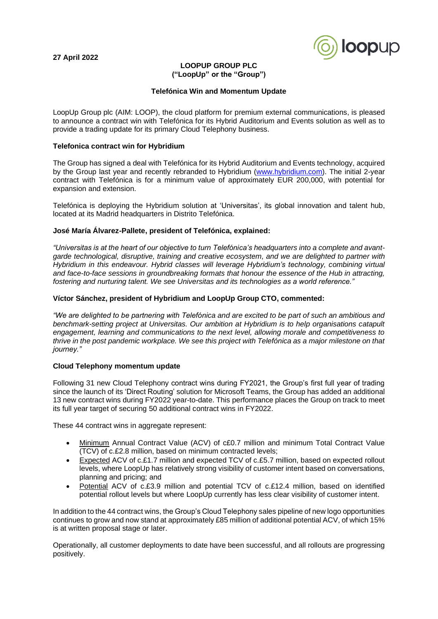**27 April 2022**



# **LOOPUP GROUP PLC ("LoopUp" or the "Group")**

### **Telefónica Win and Momentum Update**

LoopUp Group plc (AIM: LOOP), the cloud platform for premium external communications, is pleased to announce a contract win with Telefónica for its Hybrid Auditorium and Events solution as well as to provide a trading update for its primary Cloud Telephony business.

### **Telefonica contract win for Hybridium**

The Group has signed a deal with Telefónica for its Hybrid Auditorium and Events technology, acquired by the Group last year and recently rebranded to Hybridium [\(www.hybridium.com\)](http://www.hybridium.com/). The initial 2-year contract with Telefónica is for a minimum value of approximately EUR 200,000, with potential for expansion and extension.

Telefónica is deploying the Hybridium solution at 'Universitas', its global innovation and talent hub, located at its Madrid headquarters in Distrito Telefónica.

# **José María Álvarez-Pallete, president of Telefónica, explained:**

*"Universitas is at the heart of our objective to turn Telefónica's headquarters into a complete and avantgarde technological, disruptive, training and creative ecosystem, and we are delighted to partner with Hybridium in this endeavour. Hybrid classes will leverage Hybridium's technology, combining virtual and face-to-face sessions in groundbreaking formats that honour the essence of the Hub in attracting, fostering and nurturing talent. We see Universitas and its technologies as a world reference."*

# **Víctor Sánchez, president of Hybridium and LoopUp Group CTO, commented:**

*"We are delighted to be partnering with Telefónica and are excited to be part of such an ambitious and benchmark-setting project at Universitas. Our ambition at Hybridium is to help organisations catapult engagement, learning and communications to the next level, allowing morale and competitiveness to thrive in the post pandemic workplace. We see this project with Telefónica as a major milestone on that journey."*

## **Cloud Telephony momentum update**

Following 31 new Cloud Telephony contract wins during FY2021, the Group's first full year of trading since the launch of its 'Direct Routing' solution for Microsoft Teams, the Group has added an additional 13 new contract wins during FY2022 year-to-date. This performance places the Group on track to meet its full year target of securing 50 additional contract wins in FY2022.

These 44 contract wins in aggregate represent:

- Minimum Annual Contract Value (ACV) of c£0.7 million and minimum Total Contract Value (TCV) of c.£2.8 million, based on minimum contracted levels;
- Expected ACV of c.£1.7 million and expected TCV of c.£5.7 million, based on expected rollout levels, where LoopUp has relatively strong visibility of customer intent based on conversations, planning and pricing; and
- Potential ACV of c.£3.9 million and potential TCV of c.£12.4 million, based on identified potential rollout levels but where LoopUp currently has less clear visibility of customer intent.

In addition to the 44 contract wins, the Group's Cloud Telephony sales pipeline of new logo opportunities continues to grow and now stand at approximately £85 million of additional potential ACV, of which 15% is at written proposal stage or later.

Operationally, all customer deployments to date have been successful, and all rollouts are progressing positively.